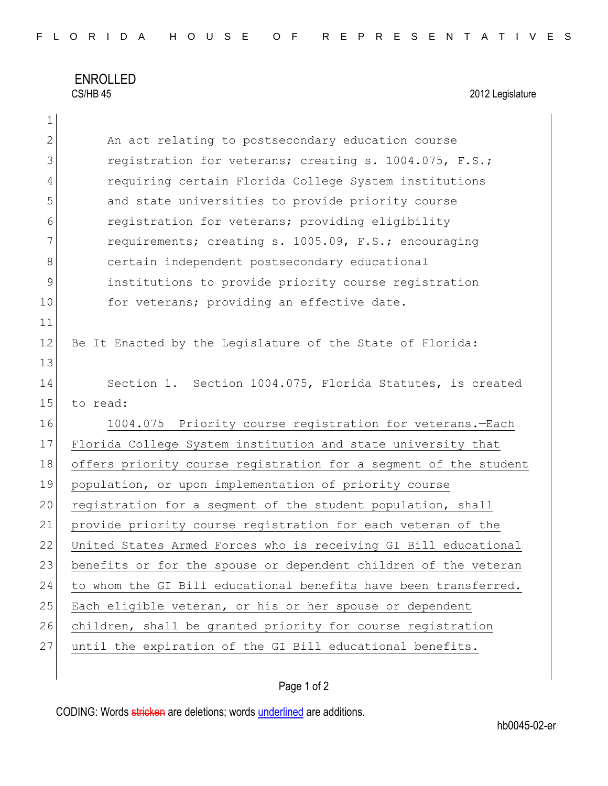## ENROLLED<br>CS/HB 45

1

2012 Legislature

| $\mathbf{2}$ | An act relating to postsecondary education course                |
|--------------|------------------------------------------------------------------|
| 3            | registration for veterans; creating s. 1004.075, F.S.;           |
| 4            | requiring certain Florida College System institutions            |
| 5            | and state universities to provide priority course                |
| 6            | registration for veterans; providing eligibility                 |
| 7            | requirements; creating s. 1005.09, F.S.; encouraging             |
| 8            | certain independent postsecondary educational                    |
| 9            | institutions to provide priority course registration             |
| 10           | for veterans; providing an effective date.                       |
| 11           |                                                                  |
| 12           | Be It Enacted by the Leqislature of the State of Florida:        |
| 13           |                                                                  |
| 14           | Section 1. Section 1004.075, Florida Statutes, is created        |
| 15           | to read:                                                         |
| 16           | 1004.075 Priority course registration for veterans.-Each         |
| 17           | Florida College System institution and state university that     |
| 18           | offers priority course registration for a segment of the student |
| 19           | population, or upon implementation of priority course            |
| 20           | registration for a segment of the student population, shall      |
| 21           | provide priority course registration for each veteran of the     |
| 22           | United States Armed Forces who is receiving GI Bill educational  |
| 23           | benefits or for the spouse or dependent children of the veteran  |
| 24           | to whom the GI Bill educational benefits have been transferred.  |
| 25           | Each eligible veteran, or his or her spouse or dependent         |
| 26           | children, shall be granted priority for course registration      |
| 27           | until the expiration of the GI Bill educational benefits.        |
|              |                                                                  |

## Page 1 of 2

CODING: Words stricken are deletions; words underlined are additions.